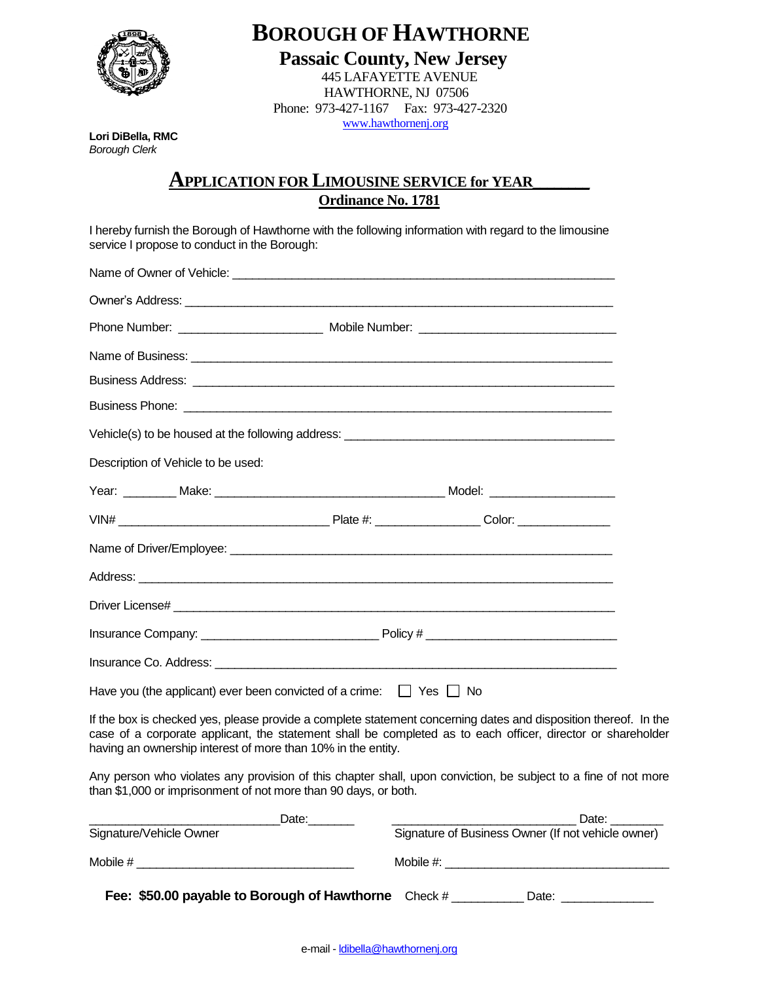

 **BOROUGH OF HAWTHORNE**

 **Passaic County, New Jersey** 445 LAFAYETTE AVENUE HAWTHORNE, NJ 07506 Phone: 973-427-1167 Fax: 973-427-2320 www.hawthornenj.org

**Lori DiBella, RMC**  *Borough Clerk* 

## **APPLICATION FOR LIMOUSINE SERVICE for YEAR**\_\_\_\_\_\_\_\_ **Ordinance No. 1781**

I hereby furnish the Borough of Hawthorne with the following information with regard to the limousine service I propose to conduct in the Borough:

| Name of Business: <u>example and contract and contract and contract and contract and contract and contract and contract and contract and contract and contract and contract and contract and contract and contract and contract </u> |  |  |  |
|--------------------------------------------------------------------------------------------------------------------------------------------------------------------------------------------------------------------------------------|--|--|--|
|                                                                                                                                                                                                                                      |  |  |  |
|                                                                                                                                                                                                                                      |  |  |  |
|                                                                                                                                                                                                                                      |  |  |  |
| Description of Vehicle to be used:                                                                                                                                                                                                   |  |  |  |
|                                                                                                                                                                                                                                      |  |  |  |
|                                                                                                                                                                                                                                      |  |  |  |
|                                                                                                                                                                                                                                      |  |  |  |
|                                                                                                                                                                                                                                      |  |  |  |
|                                                                                                                                                                                                                                      |  |  |  |
|                                                                                                                                                                                                                                      |  |  |  |
|                                                                                                                                                                                                                                      |  |  |  |
| Have you (the applicant) ever been convicted of a crime: $\Box$ Yes $\Box$ No                                                                                                                                                        |  |  |  |
| If the box is checked yes, please provide a complete statement concerning dates and disposition thereof. In the                                                                                                                      |  |  |  |

case of a corporate applicant, the statement shall be completed as to each officer, director or shareholder having an ownership interest of more than 10% in the entity.

Any person who violates any provision of this chapter shall, upon conviction, be subject to a fine of not more than \$1,000 or imprisonment of not more than 90 days, or both.

| Date:                                                | Date:                                              |  |  |
|------------------------------------------------------|----------------------------------------------------|--|--|
| Signature/Vehicle Owner                              | Signature of Business Owner (If not vehicle owner) |  |  |
| Mobile $#$                                           | Mobile #:                                          |  |  |
| Fee: \$50.00 payable to Borough of Hawthorne Check # | Date:                                              |  |  |